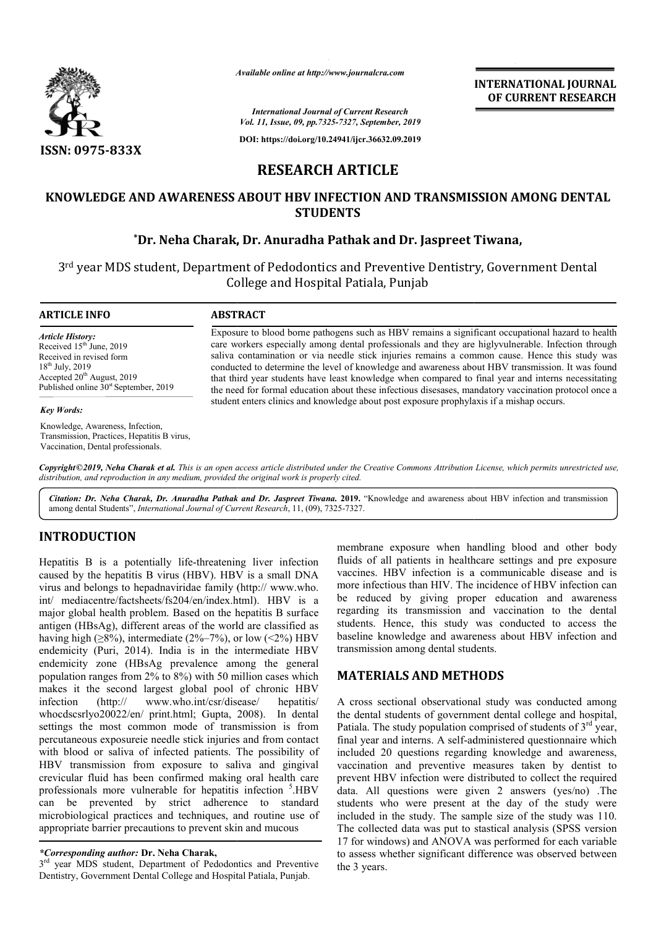

*Available online at http://www.journalcra.com*

**INTERNATIONAL JOURNAL OF CURRENT RESEARCH**

*International Journal of Current Research Vol. 11, Issue, 09, pp.7325-7327, September, 2019*

**DOI: https://doi.org/10.24941/ijcr.36632.09.2019**

# **RESEARCH ARTICLE**

### **KNOWLEDGE AND AWARENESS ABOUT HBV INFECTION AND TRANSMISSION AMONG DENTAL STUDENTS**

### $^{\ast}$ Dr. Neha Charak, Dr. Anuradha Pathak and Dr. Jaspreet Tiwana,

3rd year MDS student, Department of Pedodontics and Preventive Dentistry Dentistry, Government Dental College and Hospital Patiala, Punjab

**ARTICLE INFO ABSTRACT**

*Article History:* Received 15<sup>th</sup> June, 2019 Received in revised form 18th July, 2019 Accepted 20<sup>th</sup> August, 2019 Published online  $30<sup>st</sup>$  September, 2019

#### *Key Words:*

Knowledge, Awareness, Infection, Transmission, Practices, Hepatitis B virus, Vaccination, Dental professionals.

Exposure to blood borne pathogens such as HBV remains a significant occupational hazard to health care workers especially among dental professionals and they are higlyvulnerable. Infection through saliva contamination or via needle stick injuries remains a common cause. Hence this study was conducted to determine the level of knowledge and awareness about HBV transmission. It was found that third year students have least knowledge when compared to final year and interns necessitating the need for formal education about these infectious disesases, mandatory vaccination protocol once a student enters clinics and knowledge about post exposure prophylaxis if a mishap occurs. Exposure to blood borne pathogens such as HBV remains a significant occupational hazard to health<br>care workers especially among dental professionals and they are higlyvulnerable. Infection through<br>saliva contamination or v that third year students have least knowledge when compared to final year and interns necess<br>the need for formal education about these infectious disesases, mandatory vaccination protocol<br>student enters clinics and knowled

Copyright©2019, Neha Charak et al. This is an open access article distributed under the Creative Commons Attribution License, which permits unrestricted use, *distribution, and reproduction in any medium, provided the original work is properly cited.*

Citation: Dr. Neha Charak, Dr. Anuradha Pathak and Dr. Jaspreet Tiwana. 2019. "Knowledge and awareness about HBV infection and transmission among dental Students", *International Journal of Current Research*, 11, (09), 7325-7327.

## **INTRODUCTION**

Hepatitis B is a potentially life-threatening liver infection Hepatitis B is a potentially life-threatening liver infection<br>caused by the hepatitis B virus (HBV). HBV is a small DNA virus and belongs to hepadnaviridae family (http:// www.who. int/ mediacentre/factsheets/fs204/en/index.html). HBV is a major global health problem. Based on the hepatitis B surface antigen (HBsAg), different areas of the world are classified as having high ( $\geq 8\%$ ), intermediate (2%–7%), or low (<2%) HBV endemicity (Puri, 2014). India is in the intermediate HBV endemicity zone (HBsAg prevalence among the general population ranges from 2% to 8%) with 50 million cases which makes it the second largest global pool of chronic HBV infection (http:// www.who.int/csr/disease/ whocdscsrlyo20022/en/ print.html; Gupta, 2008) 2008). In dental settings the most common mode of transmission is from percutaneous exposureie needle stick injuries and from contact with blood or saliva of infected patients. The possibility of HBV transmission from exposure to saliva and gingival crevicular fluid has been confirmed making oral health care<br>professionals more vulnerable for henotitis infection  $\frac{5}{2}$  HBV professionals more vulnerable for hepatitis infection <sup>3</sup>.HBV can be prevented by strict adherence to standard microbiological practices and techniques, and routine use of appropriate barrier precautions to prevent skin and mucous 6), intermediate  $(2\% - 7\%)$ ,<br>
7 2014). India is in the<br>
7 (HBsAg prevalence an<br>
8 from 2% to 8%) with 50 is<br>
cond largest global pool hepatitis/ membrane exposure when handling blood and other body membrane exposure when handling blood and other body<br>fluids of all patients in healthcare settings and pre exposure vaccines. HBV infection is a communicable disease and is more infectious than HIV. The incidence of HBV infection can be reduced by giving proper education and awareness vaccines. HBV infection is a communicable disease and is<br>more infectious than HIV. The incidence of HBV infection can<br>be reduced by giving proper education and awareness<br>regarding its transmission and vaccination to the de students. Hence, this study was conducted to access the baseline knowledge and awareness about HBV infection and transmission among dental students.

### **MATERIALS AND METHODS METHODS**

A cross sectional observational study was conducted among the dental students of government dental college and hospital, the dental students of government dental college and hospital, Patiala. The study population comprised of students of 3<sup>rd</sup> year, final year and interns. A self-administered questionnaire which included 20 questions regarding knowledge and awareness, vaccination and preventive measures taken by dentist to prevent HBV infection were distributed to collect the required data. All questions were given 2 answers (yes/no) .The students who were present at the day of the study were included in the study. The sample size of the study was 110. The collected data was put to stastical analysis (SPSS version 17 for windows) and ANOVA was performed for each variable to assess whether significant difference was observed between the 3 years. **EXECT THE CONSTRANT CONSTRANT CONSTRANT CONSTRANT CONSTRANT CONSTRANT CONSTRANT CONSTRANT (SCONSTRANT)**<br> **ARTICLE ECTION AND TRANSMISSION AMONG DENTAL**<br> **ARTICLE**<br> **ECTION AND TRANSMISSION AMONG DENTAL**<br> **ECTION AND TRANS** 

*<sup>\*</sup>Corresponding author:* **Dr. Neha Charak,**

<sup>3&</sup>lt;sup>rd</sup> year MDS student, Department of Pedodontics and Preventive Dentistry, Government Dental College and Hospital Patiala, Punjab vent skin and mucous<br>Vak,<br>Pedodontics and Preventi<br>dd Hospital Patiala, Punjab.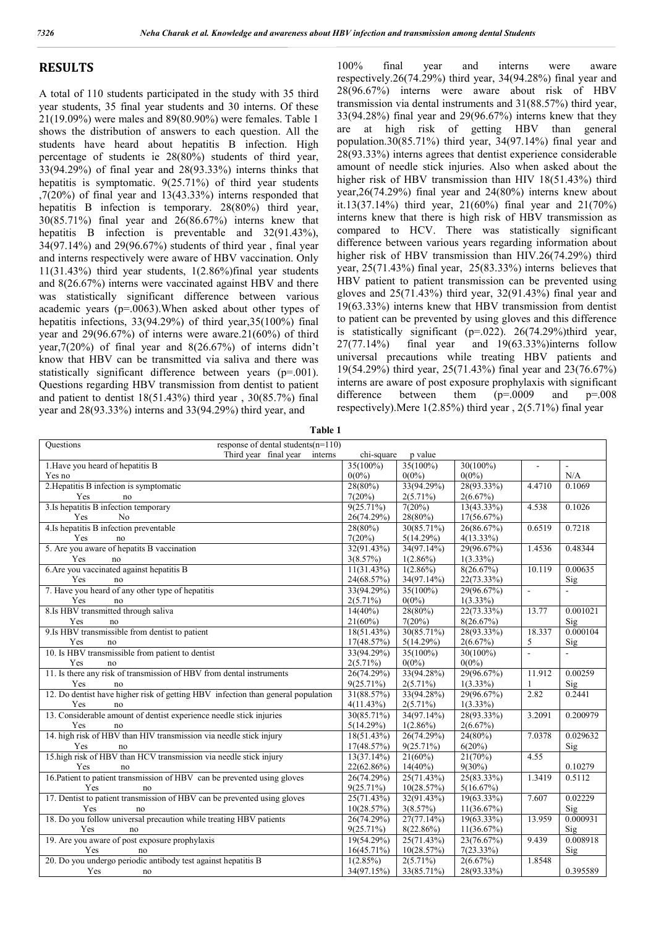#### **RESULTS**

A total of 110 students participated in the study with 35 third year students, 35 final year students and 30 interns. Of these 21(19.09%) were males and 89(80.90%) were females. Table 1 shows the distribution of answers to each question. All the students have heard about hepatitis B infection. High percentage of students ie 28(80%) students of third year, 33(94.29%) of final year and 28(93.33%) interns thinks that hepatitis is symptomatic. 9(25.71%) of third year students ,7(20%) of final year and 13(43.33%) interns responded that hepatitis B infection is temporary. 28(80%) third year, 30(85.71%) final year and 26(86.67%) interns knew that hepatitis B infection is preventable and 32(91.43%), 34(97.14%) and 29(96.67%) students of third year , final year and interns respectively were aware of HBV vaccination. Only 11(31.43%) third year students, 1(2.86%)final year students and 8(26.67%) interns were vaccinated against HBV and there was statistically significant difference between various academic years (p=.0063).When asked about other types of hepatitis infections, 33(94.29%) of third year,35(100%) final year and 29(96.67%) of interns were aware.21(60%) of third year,7(20%) of final year and 8(26.67%) of interns didn't know that HBV can be transmitted via saliva and there was statistically significant difference between years (p=.001). Questions regarding HBV transmission from dentist to patient and patient to dentist 18(51.43%) third year , 30(85.7%) final year and 28(93.33%) interns and 33(94.29%) third year, and

100% final year and interns were aware respectively.26(74.29%) third year, 34(94.28%) final year and 28(96.67%) interns were aware about risk of HBV transmission via dental instruments and 31(88.57%) third year, 33(94.28%) final year and 29(96.67%) interns knew that they are at high risk of getting HBV than general population.30(85.71%) third year, 34(97.14%) final year and 28(93.33%) interns agrees that dentist experience considerable amount of needle stick injuries. Also when asked about the higher risk of HBV transmission than HIV 18(51.43%) third year,26(74.29%) final year and 24(80%) interns knew about it.13(37.14%) third year, 21(60%) final year and 21(70%) interns knew that there is high risk of HBV transmission as compared to HCV. There was statistically significant difference between various years regarding information about higher risk of HBV transmission than HIV.26(74.29%) third year, 25(71.43%) final year, 25(83.33%) interns believes that HBV patient to patient transmission can be prevented using gloves and 25(71.43%) third year, 32(91.43%) final year and 19(63.33%) interns knew that HBV transmission from dentist to patient can be prevented by using gloves and this difference is statistically significant (p=.022). 26(74.29%)third year,  $27(77.14\%)$  final year and 19(63.33%)interns follow 27(77.14%) final year and 19(63.33%)interns follow universal precautions while treating HBV patients and 19(54.29%) third year, 25(71.43%) final year and 23(76.67%) interns are aware of post exposure prophylaxis with significant difference between them (p=.0009 and p=.008 respectively).Mere 1(2.85%) third year , 2(5.71%) final year

| response of dental students $(n=110)$<br><b>Ouestions</b>                        |              |                    |              |                |                 |
|----------------------------------------------------------------------------------|--------------|--------------------|--------------|----------------|-----------------|
| Third year final year<br>interns                                                 | chi-square   | p value            |              |                |                 |
| 1. Have you heard of hepatitis B                                                 | 35(100%)     | 35(100%)           | 30(100%)     | $\blacksquare$ | $\blacksquare$  |
| Yes no                                                                           | $0(0\%)$     | $0(0\%)$           | $0(0\%)$     |                | N/A             |
| 2. Hepatitis B infection is symptomatic                                          | 28(80%)      | 33(94.29%)         | 28(93.33%)   | 4.4710         | 0.1069          |
| Yes<br>no                                                                        | 7(20%)       | $2(5.71\%)$        | 2(6.67%)     |                |                 |
| 3. Is hepatitis B infection temporary                                            | 9(25.71%)    | 7(20%)             | 13(43.33%)   | 4.538          | 0.1026          |
| Yes<br>No                                                                        | 26(74.29%)   | 28(80%)            | 17(56.67%)   |                |                 |
| 4.Is hepatitis B infection preventable                                           | 28(80%)      | 30(85.71%)         | 26(86.67%)   | 0.6519         | 0.7218          |
| Yes<br>no                                                                        | 7(20%)       | 5(14.29%)          | $4(13.33\%)$ |                |                 |
| 5. Are you aware of hepatits B vaccination                                       | 32(91.43%)   | 34(97.14%)         | 29(96.67%)   | 1.4536         | 0.48344         |
| Yes<br>no                                                                        | 3(8.57%)     | $1(2.86\%)$        | $1(3.33\%)$  |                |                 |
| 6. Are you vaccinated against hepatitis B                                        | 11(31.43%)   | 1(2.86%)           | 8(26.67%)    | 10.119         | 0.00635         |
| Yes<br>no                                                                        | 24(68.57%)   | 34(97.14%)         | 22(73.33%)   |                | Sig             |
| 7. Have you heard of any other type of hepatitis                                 | 33(94.29%)   | $35(100\%)$        | 29(96.67%)   | $\omega$       | L.              |
| Yes<br>no                                                                        | $2(5.71\%)$  | $0(0\%)$           | $1(3.33\%)$  |                |                 |
| 8.Is HBV transmitted through saliva                                              | $14(40\%)$   | 28(80%)            | 22(73.33%)   | 13.77          | 0.001021        |
| Yes<br>no                                                                        | 21(60%)      | 7(20%)             | 8(26.67%)    |                | Sig             |
| 9.Is HBV transmissible from dentist to patient                                   | 18(51.43%)   | 30(85.71%)         | 28(93.33%)   | 18.337         | 0.000104        |
| Yes<br>no                                                                        | 17(48.57%)   | 5(14.29%)          | 2(6.67%)     | 5              | Sig             |
| 10. Is HBV transmissible from patient to dentist                                 | 33(94.29%)   | $35(100\%)$        | 30(100%)     | $\overline{a}$ |                 |
| Yes<br>no                                                                        | $2(5.71\%)$  | $0(0\%)$           | $0(0\%)$     |                |                 |
| 11. Is there any risk of transmission of HBV from dental instruments             | 26(74.29%)   | 33(94.28%)         | 29(96.67%)   | 11.912         | 0.00259         |
| Yes<br>no                                                                        | $9(25.71\%)$ | $2(5.71\%)$        | $1(3.33\%)$  | 1              | Sig             |
| 12. Do dentist have higher risk of getting HBV infection than general population | 31(88.57%)   | 33(94.28%)         | 29(96.67%)   | 2.82           | 0.2441          |
| Yes<br>no                                                                        | 4(11.43%)    | $2(5.71\%)$        | $1(3.33\%)$  |                |                 |
| 13. Considerable amount of dentist experience needle stick injuries              | 30(85.71%)   | 34(97.14%)         | 28(93.33%)   | 3.2091         | 0.200979        |
| Yes<br>no                                                                        | 5(14.29%)    | $1(2.86\%)$        | 2(6.67%)     |                |                 |
| 14. high risk of HBV than HIV transmission via needle stick injury               | 18(51.43%)   | 26(74.29%)         | 24(80%)      | 7.0378         | 0.029632        |
| Yes<br>no                                                                        | 17(48.57%)   | $9(25.71\%)$       | 6(20%)       |                | Sig             |
| 15. high risk of HBV than HCV transmission via needle stick injury               | 13(37.14%)   | 21(60%)            | 21(70%)      | 4.55           |                 |
| Yes<br>no                                                                        | 22(62.86%)   | $14(40\%)$         | $9(30\%)$    |                | 0.10279         |
| 16. Patient to patient transmission of HBV can be prevented using gloves         | 26(74.29%)   | 25(71.43%)         | 25(83.33%)   | 1.3419         | 0.5112          |
| Yes<br>$\operatorname{no}$                                                       | $9(25.71\%)$ | 10(28.57%)         | 5(16.67%)    |                |                 |
| 17. Dentist to patient transmission of HBV can be prevented using gloves         | 25(71.43%)   | 32(91.43%)         | 19(63.33%)   | 7.607          | 0.02229         |
| Yes<br>no                                                                        | 10(28.57%)   | 3(8.57%)           | 11(36.67%)   |                | Si <sub>2</sub> |
| 18. Do you follow universal precaution while treating HBV patients               | 26(74.29%)   | 27(77.14%)         | 19(63.33%)   | 13.959         | 0.000931        |
| Yes<br>no                                                                        | 9(25.71%)    | 8(22.86%)          | 11(36.67%)   |                | Sig             |
| 19. Are you aware of post exposure prophylaxis                                   | 19(54.29%)   | 25(71.43%)         | 23(76.67%)   | 9.439          | 0.008918        |
| Yes<br>no                                                                        | 16(45.71%)   | 10(28.57%)         | $7(23.33\%)$ |                | Sig             |
| 20. Do you undergo periodic antibody test against hepatitis B                    | 1(2.85%)     | $\sqrt{2(5.71\%)}$ | 2(6.67%)     | 1.8548         |                 |
| Yes<br>no                                                                        | 34(97.15%)   | 33(85.71%)         | 28(93.33%)   |                | 0.395589        |